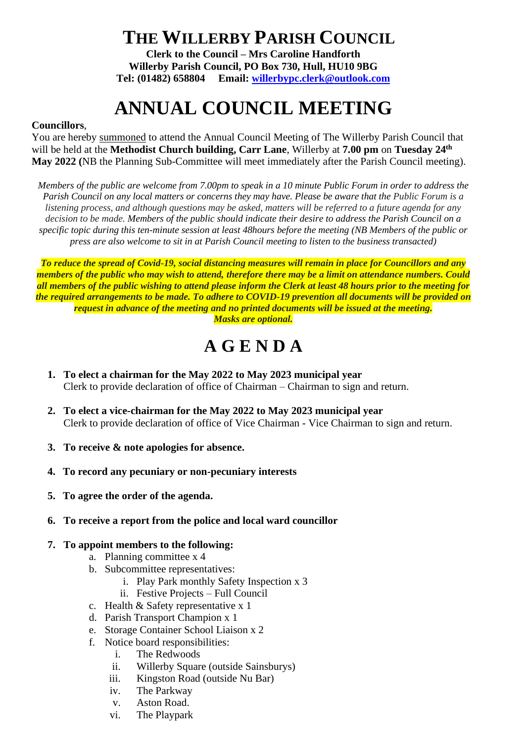**THE WILLERBY PARISH COUNCIL**

**Clerk to the Council – Mrs Caroline Handforth Willerby Parish Council, PO Box 730, Hull, HU10 9BG Tel: (01482) 658804 Email: [willerbypc.clerk@outlook.com](mailto:willerbypc.clerk@outlook.com)**

# **ANNUAL COUNCIL MEETING**

### **Councillors**,

You are hereby summoned to attend the Annual Council Meeting of The Willerby Parish Council that will be held at the **Methodist Church building, Carr Lane**, Willerby at **7.00 pm** on **Tuesday 24th May 2022 (**NB the Planning Sub-Committee will meet immediately after the Parish Council meeting).

*Members of the public are welcome from 7.00pm to speak in a 10 minute Public Forum in order to address the Parish Council on any local matters or concerns they may have. Please be aware that the Public Forum is a listening process, and although questions may be asked, matters will be referred to a future agenda for any decision to be made. Members of the public should indicate their desire to address the Parish Council on a specific topic during this ten-minute session at least 48hours before the meeting (NB Members of the public or press are also welcome to sit in at Parish Council meeting to listen to the business transacted)* 

*To reduce the spread of Covid-19, social distancing measures will remain in place for Councillors and any members of the public who may wish to attend, therefore there may be a limit on attendance numbers. Could all members of the public wishing to attend please inform the Clerk at least 48 hours prior to the meeting for the required arrangements to be made. To adhere to COVID-19 prevention all documents will be provided on request in advance of the meeting and no printed documents will be issued at the meeting. Masks are optional.*

## **A G E N D A**

- **1. To elect a chairman for the May 2022 to May 2023 municipal year** Clerk to provide declaration of office of Chairman – Chairman to sign and return.
- **2. To elect a vice-chairman for the May 2022 to May 2023 municipal year** Clerk to provide declaration of office of Vice Chairman - Vice Chairman to sign and return.
- **3. To receive & note apologies for absence.**
- **4. To record any pecuniary or non-pecuniary interests**
- **5. To agree the order of the agenda.**
- **6. To receive a report from the police and local ward councillor**

#### **7. To appoint members to the following:**

- a. Planning committee x 4
- b. Subcommittee representatives:
	- i. Play Park monthly Safety Inspection x 3
	- ii. Festive Projects Full Council
- c. Health & Safety representative x 1
- d. Parish Transport Champion x 1
- e. Storage Container School Liaison x 2
- f. Notice board responsibilities:
	- i. The Redwoods
	- ii. Willerby Square (outside Sainsburys)
	- iii. Kingston Road (outside Nu Bar)
	- iv. The Parkway
	- v. Aston Road.
	- vi. The Playpark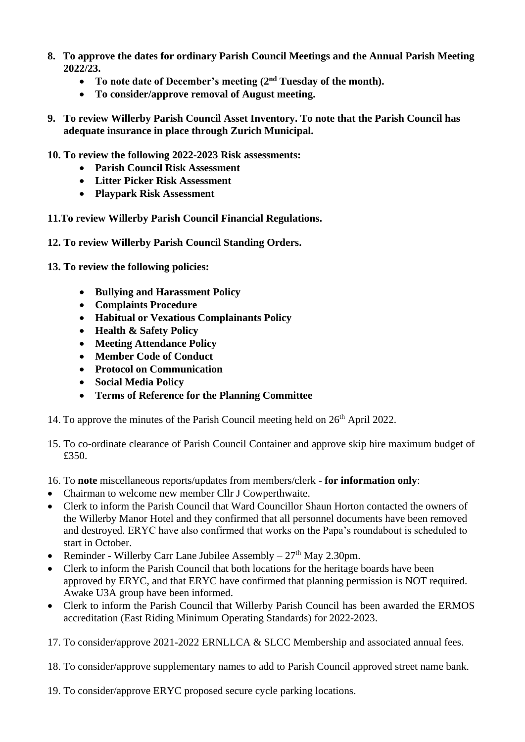- **8. To approve the dates for ordinary Parish Council Meetings and the Annual Parish Meeting 2022/23.** 
	- **To note date of December's meeting (2nd Tuesday of the month).**
	- **To consider/approve removal of August meeting.**
- **9. To review Willerby Parish Council Asset Inventory. To note that the Parish Council has adequate insurance in place through Zurich Municipal.**
- **10. To review the following 2022-2023 Risk assessments:**
	- **Parish Council Risk Assessment**
	- **Litter Picker Risk Assessment**
	- **Playpark Risk Assessment**
- **11.To review Willerby Parish Council Financial Regulations.**
- **12. To review Willerby Parish Council Standing Orders.**
- **13. To review the following policies:**
	- **Bullying and Harassment Policy**
	- **Complaints Procedure**
	- **Habitual or Vexatious Complainants Policy**
	- **Health & Safety Policy**
	- **Meeting Attendance Policy**
	- **Member Code of Conduct**
	- **Protocol on Communication**
	- **Social Media Policy**
	- **Terms of Reference for the Planning Committee**
- 14. To approve the minutes of the Parish Council meeting held on 26<sup>th</sup> April 2022.
- 15. To co-ordinate clearance of Parish Council Container and approve skip hire maximum budget of £350.
- 16. To **note** miscellaneous reports/updates from members/clerk **for information only**:
- Chairman to welcome new member Cllr J Cowperthwaite.
- Clerk to inform the Parish Council that Ward Councillor Shaun Horton contacted the owners of the Willerby Manor Hotel and they confirmed that all personnel documents have been removed and destroyed. ERYC have also confirmed that works on the Papa's roundabout is scheduled to start in October.
- Reminder Willerby Carr Lane Jubilee Assembly  $-27<sup>th</sup>$  May 2.30pm.
- Clerk to inform the Parish Council that both locations for the heritage boards have been approved by ERYC, and that ERYC have confirmed that planning permission is NOT required. Awake U3A group have been informed.
- Clerk to inform the Parish Council that Willerby Parish Council has been awarded the ERMOS accreditation (East Riding Minimum Operating Standards) for 2022-2023.
- 17. To consider/approve 2021-2022 ERNLLCA & SLCC Membership and associated annual fees.
- 18. To consider/approve supplementary names to add to Parish Council approved street name bank.
- 19. To consider/approve ERYC proposed secure cycle parking locations.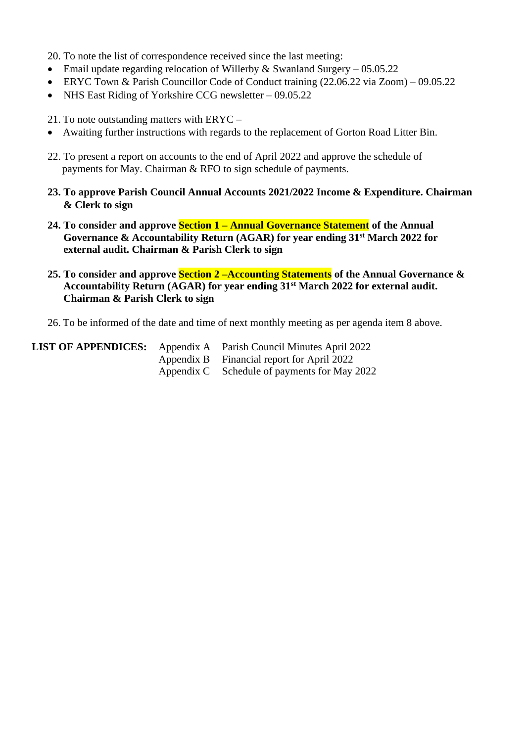20. To note the list of correspondence received since the last meeting:

- Email update regarding relocation of Willerby  $&$  Swanland Surgery 05.05.22
- ERYC Town & Parish Councillor Code of Conduct training (22.06.22 via Zoom) 09.05.22
- NHS East Riding of Yorkshire CCG newsletter 09.05.22
- 21. To note outstanding matters with ERYC –
- Awaiting further instructions with regards to the replacement of Gorton Road Litter Bin.
- 22. To present a report on accounts to the end of April 2022 and approve the schedule of payments for May. Chairman & RFO to sign schedule of payments.
- **23. To approve Parish Council Annual Accounts 2021/2022 Income & Expenditure. Chairman & Clerk to sign**
- **24. To consider and approve Section 1 – Annual Governance Statement of the Annual Governance & Accountability Return (AGAR) for year ending 31st March 2022 for external audit. Chairman & Parish Clerk to sign**
- **25. To consider and approve Section 2 –Accounting Statements of the Annual Governance & Accountability Return (AGAR) for year ending 31st March 2022 for external audit. Chairman & Parish Clerk to sign**
- 26. To be informed of the date and time of next monthly meeting as per agenda item 8 above.

|  | <b>LIST OF APPENDICES:</b> Appendix A Parish Council Minutes April 2022 |
|--|-------------------------------------------------------------------------|
|  | Appendix B Financial report for April 2022                              |
|  | Appendix C Schedule of payments for May 2022                            |